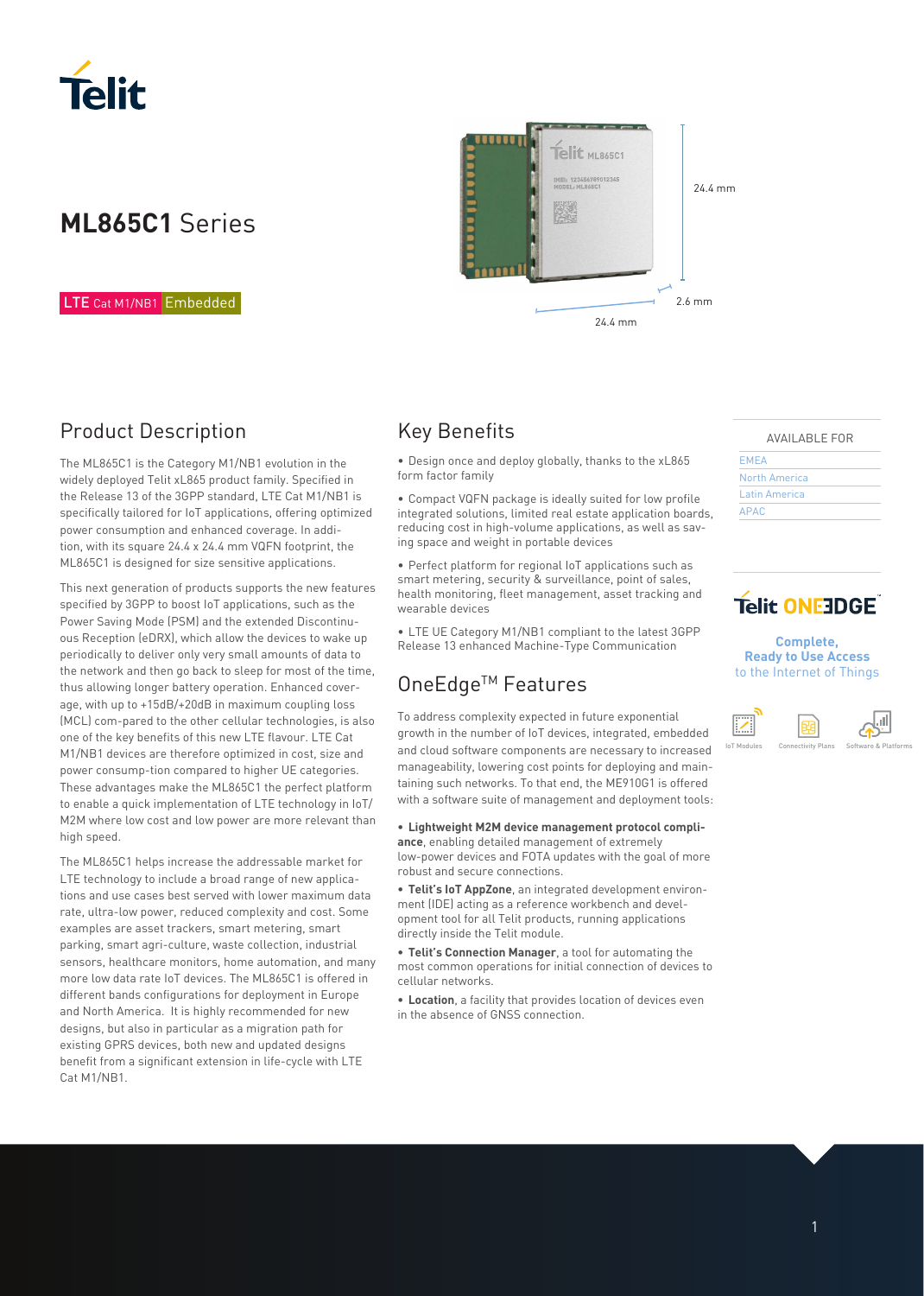

# **ML865C1** Series

#### LTE Cat M1/NB1 Embedded



### Product Description

The ML865C1 is the Category M1/NB1 evolution in the widely deployed Telit xL865 product family. Specified in the Release 13 of the 3GPP standard, LTE Cat M1/NB1 is specifically tailored for IoT applications, offering optimized power consumption and enhanced coverage. In addition, with its square 24.4 x 24.4 mm VQFN footprint, the ML865C1 is designed for size sensitive applications.

This next generation of products supports the new features specified by 3GPP to boost IoT applications, such as the Power Saving Mode (PSM) and the extended Discontinuous Reception (eDRX), which allow the devices to wake up periodically to deliver only very small amounts of data to the network and then go back to sleep for most of the time, thus allowing longer battery operation. Enhanced coverage, with up to +15dB/+20dB in maximum coupling loss (MCL) com-pared to the other cellular technologies, is also one of the key benefits of this new LTE flavour. LTE Cat M1/NB1 devices are therefore optimized in cost, size and power consump-tion compared to higher UE categories. These advantages make the ML865C1 the perfect platform to enable a quick implementation of LTE technology in IoT/ M2M where low cost and low power are more relevant than high speed.

The ML865C1 helps increase the addressable market for LTE technology to include a broad range of new applications and use cases best served with lower maximum data rate, ultra-low power, reduced complexity and cost. Some examples are asset trackers, smart metering, smart parking, smart agri-culture, waste collection, industrial sensors, healthcare monitors, home automation, and many more low data rate IoT devices. The ML865C1 is offered in different bands configurations for deployment in Europe and North America. It is highly recommended for new designs, but also in particular as a migration path for existing GPRS devices, both new and updated designs benefit from a significant extension in life-cycle with LTE Cat M1/NB1.

### Key Benefits

• Design once and deploy globally, thanks to the xL865 form factor family

• Compact VQFN package is ideally suited for low profile integrated solutions, limited real estate application boards, reducing cost in high-volume applications, as well as saving space and weight in portable devices

• Perfect platform for regional IoT applications such as smart metering, security & surveillance, point of sales, health monitoring, fleet management, asset tracking and wearable devices

• LTE UE Category M1/NB1 compliant to the latest 3GPP Release 13 enhanced Machine-Type Communication

### OneEdge™ Features

To address complexity expected in future exponential growth in the number of IoT devices, integrated, embedded and cloud software components are necessary to increased manageability, lowering cost points for deploying and maintaining such networks. To that end, the ME910G1 is offered with a software suite of management and deployment tools:

**• Lightweight M2M device management protocol compliance**, enabling detailed management of extremely low-power devices and FOTA updates with the goal of more robust and secure connections.

**• Telit's IoT AppZone**, an integrated development environment (IDE) acting as a reference workbench and development tool for all Telit products, running applications directly inside the Telit module.

**• Telit's Connection Manager**, a tool for automating the most common operations for initial connection of devices to cellular networks.

**• Location**, a facility that provides location of devices even in the absence of GNSS connection.

| AVAILABLE FOR |  |
|---------------|--|

| <b>EMEA</b>   |  |
|---------------|--|
| North America |  |
| Latin America |  |
| <b>APAC</b>   |  |

## **Telit ONEJDGE**

**Complete, Ready to Use Access**  to the Internet of Things